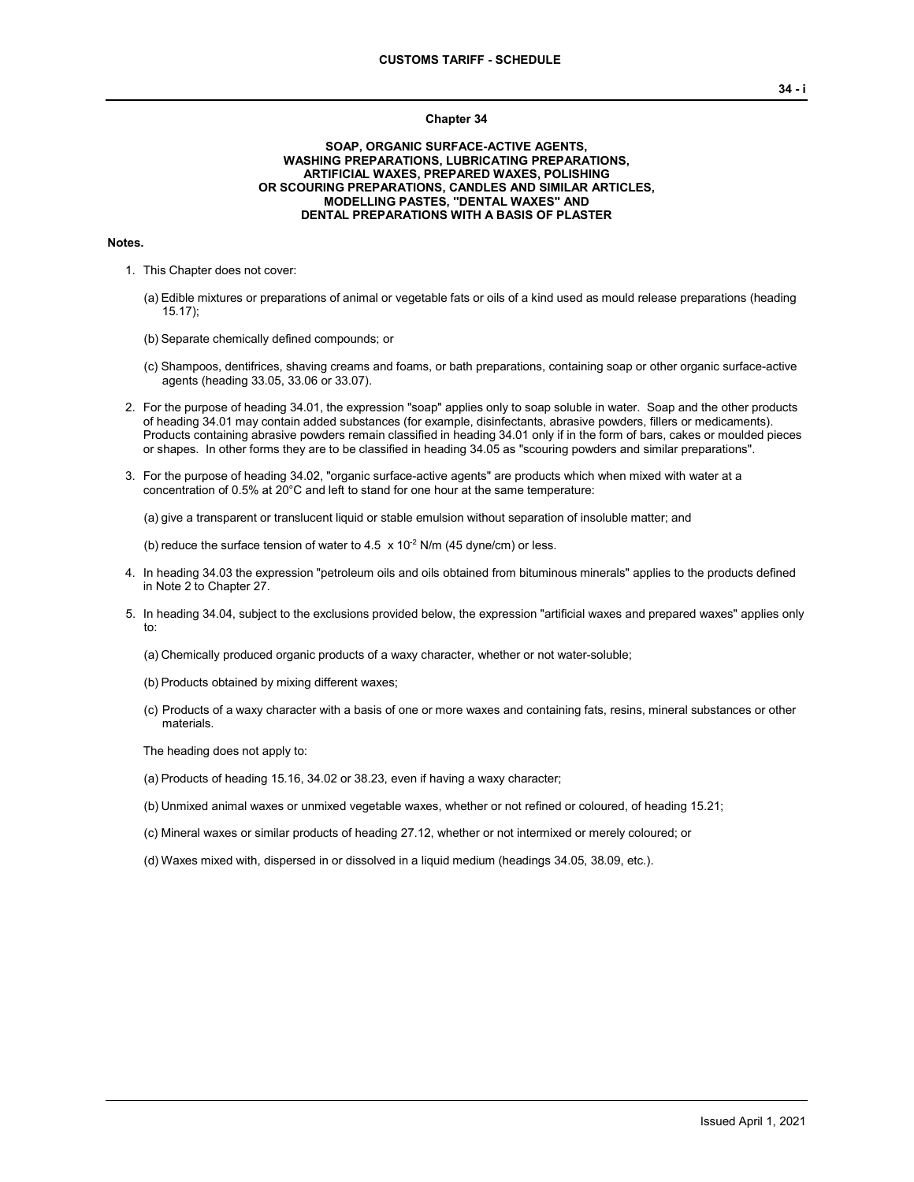#### **Chapter 34**

### **SOAP, ORGANIC SURFACE-ACTIVE AGENTS, WASHING PREPARATIONS, LUBRICATING PREPARATIONS, ARTIFICIAL WAXES, PREPARED WAXES, POLISHING OR SCOURING PREPARATIONS, CANDLES AND SIMILAR ARTICLES, MODELLING PASTES, ''DENTAL WAXES'' AND DENTAL PREPARATIONS WITH A BASIS OF PLASTER**

#### **Notes.**

- 1. This Chapter does not cover:
	- (a) Edible mixtures or preparations of animal or vegetable fats or oils of a kind used as mould release preparations (heading 15.17);
	- (b) Separate chemically defined compounds; or
	- (c) Shampoos, dentifrices, shaving creams and foams, or bath preparations, containing soap or other organic surface-active agents (heading 33.05, 33.06 or 33.07).
- 2. For the purpose of heading 34.01, the expression "soap" applies only to soap soluble in water. Soap and the other products of heading 34.01 may contain added substances (for example, disinfectants, abrasive powders, fillers or medicaments). Products containing abrasive powders remain classified in heading 34.01 only if in the form of bars, cakes or moulded pieces or shapes. In other forms they are to be classified in heading 34.05 as "scouring powders and similar preparations".
- 3. For the purpose of heading 34.02, "organic surface-active agents" are products which when mixed with water at a concentration of 0.5% at 20°C and left to stand for one hour at the same temperature:

(a) give a transparent or translucent liquid or stable emulsion without separation of insoluble matter; and

(b) reduce the surface tension of water to 4.5  $\times$  10<sup>-2</sup> N/m (45 dyne/cm) or less.

- 4. In heading 34.03 the expression "petroleum oils and oils obtained from bituminous minerals" applies to the products defined in Note 2 to Chapter 27.
- 5. In heading 34.04, subject to the exclusions provided below, the expression "artificial waxes and prepared waxes" applies only to:
	- (a) Chemically produced organic products of a waxy character, whether or not water-soluble;
	- (b) Products obtained by mixing different waxes;
	- (c) Products of a waxy character with a basis of one or more waxes and containing fats, resins, mineral substances or other materials.

The heading does not apply to:

- (a) Products of heading 15.16, 34.02 or 38.23, even if having a waxy character;
- (b) Unmixed animal waxes or unmixed vegetable waxes, whether or not refined or coloured, of heading 15.21;
- (c) Mineral waxes or similar products of heading 27.12, whether or not intermixed or merely coloured; or
- (d) Waxes mixed with, dispersed in or dissolved in a liquid medium (headings 34.05, 38.09, etc.).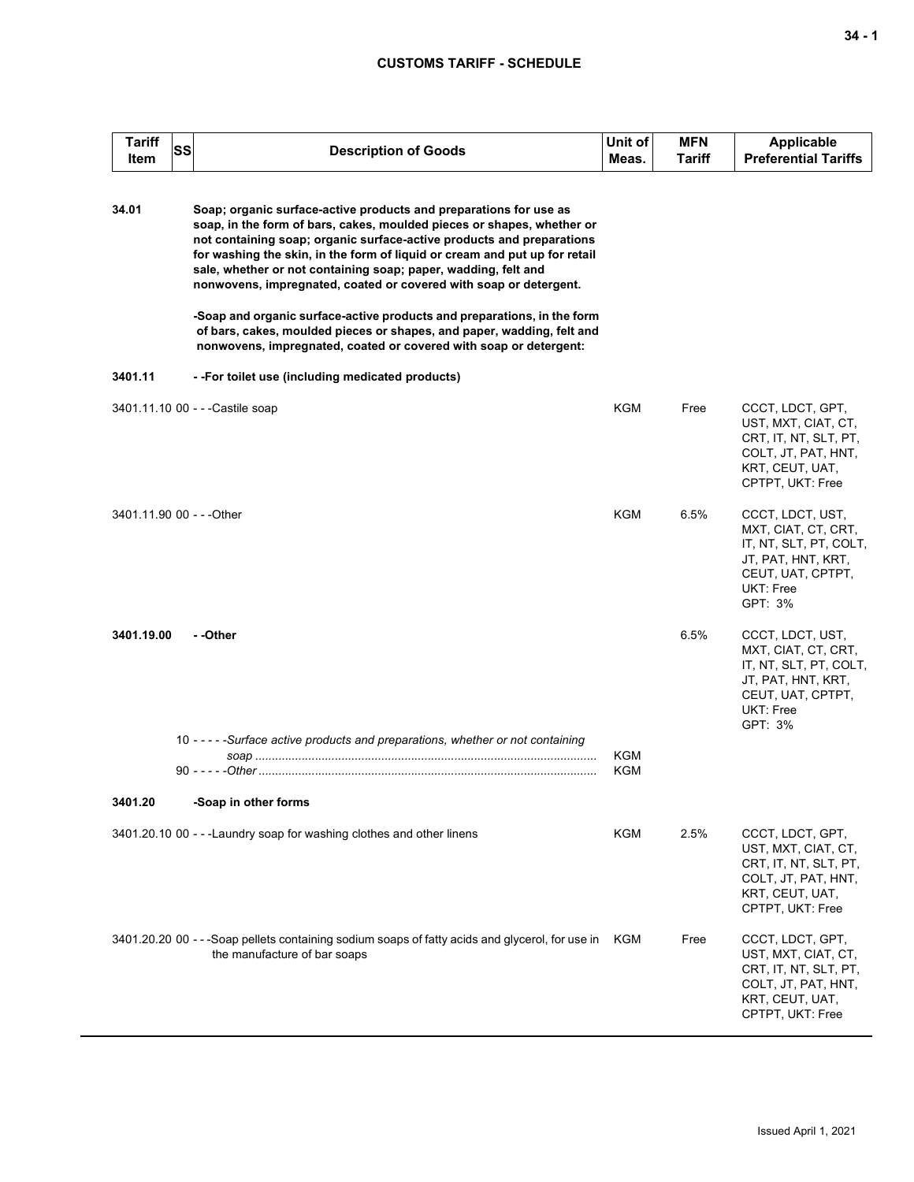## **CUSTOMS TARIFF - SCHEDULE**

| <b>Tariff</b><br><b>SS</b><br>Item | <b>Description of Goods</b>                                                                                                                                                                                                                                                                                                                                                                                                               | Unit of<br>Meas. | <b>MFN</b><br><b>Tariff</b> | <b>Applicable</b><br><b>Preferential Tariffs</b>                                                                                     |
|------------------------------------|-------------------------------------------------------------------------------------------------------------------------------------------------------------------------------------------------------------------------------------------------------------------------------------------------------------------------------------------------------------------------------------------------------------------------------------------|------------------|-----------------------------|--------------------------------------------------------------------------------------------------------------------------------------|
| 34.01                              | Soap; organic surface-active products and preparations for use as<br>soap, in the form of bars, cakes, moulded pieces or shapes, whether or<br>not containing soap; organic surface-active products and preparations<br>for washing the skin, in the form of liquid or cream and put up for retail<br>sale, whether or not containing soap; paper, wadding, felt and<br>nonwovens, impregnated, coated or covered with soap or detergent. |                  |                             |                                                                                                                                      |
|                                    | -Soap and organic surface-active products and preparations, in the form<br>of bars, cakes, moulded pieces or shapes, and paper, wadding, felt and<br>nonwovens, impregnated, coated or covered with soap or detergent:                                                                                                                                                                                                                    |                  |                             |                                                                                                                                      |
| 3401.11                            | --For toilet use (including medicated products)                                                                                                                                                                                                                                                                                                                                                                                           |                  |                             |                                                                                                                                      |
|                                    | 3401.11.10 00 - - - Castile soap                                                                                                                                                                                                                                                                                                                                                                                                          | KGM              | Free                        | CCCT, LDCT, GPT,<br>UST, MXT, CIAT, CT,<br>CRT, IT, NT, SLT, PT,<br>COLT, JT, PAT, HNT,<br>KRT, CEUT, UAT,<br>CPTPT, UKT: Free       |
| 3401.11.90 00 - - - Other          |                                                                                                                                                                                                                                                                                                                                                                                                                                           | KGM              | 6.5%                        | CCCT, LDCT, UST,<br>MXT, CIAT, CT, CRT,<br>IT, NT, SLT, PT, COLT,<br>JT, PAT, HNT, KRT,<br>CEUT, UAT, CPTPT,<br>UKT: Free<br>GPT: 3% |
| 3401.19.00                         | - -Other                                                                                                                                                                                                                                                                                                                                                                                                                                  |                  | 6.5%                        | CCCT, LDCT, UST,<br>MXT, CIAT, CT, CRT,<br>IT, NT, SLT, PT, COLT,<br>JT, PAT, HNT, KRT,<br>CEUT, UAT, CPTPT,<br>UKT: Free<br>GPT: 3% |
|                                    | 10 - - - - - Surface active products and preparations, whether or not containing                                                                                                                                                                                                                                                                                                                                                          | KGM              |                             |                                                                                                                                      |
|                                    |                                                                                                                                                                                                                                                                                                                                                                                                                                           | KGM              |                             |                                                                                                                                      |
| 3401.20                            | -Soap in other forms                                                                                                                                                                                                                                                                                                                                                                                                                      |                  |                             |                                                                                                                                      |
|                                    | 3401.20.10 00 - - - Laundry soap for washing clothes and other linens                                                                                                                                                                                                                                                                                                                                                                     | KGM              | 2.5%                        | CCCT, LDCT, GPT,<br>UST, MXT, CIAT, CT,<br>CRT, IT, NT, SLT, PT,<br>COLT, JT, PAT, HNT,<br>KRT, CEUT, UAT,<br>CPTPT, UKT: Free       |
|                                    | 3401.20.20 00 - - -Soap pellets containing sodium soaps of fatty acids and glycerol, for use in<br>the manufacture of bar soaps                                                                                                                                                                                                                                                                                                           | KGM              | Free                        | CCCT, LDCT, GPT,<br>UST, MXT, CIAT, CT,<br>CRT, IT, NT, SLT, PT,<br>COLT, JT, PAT, HNT,<br>KRT, CEUT, UAT,<br>CPTPT, UKT: Free       |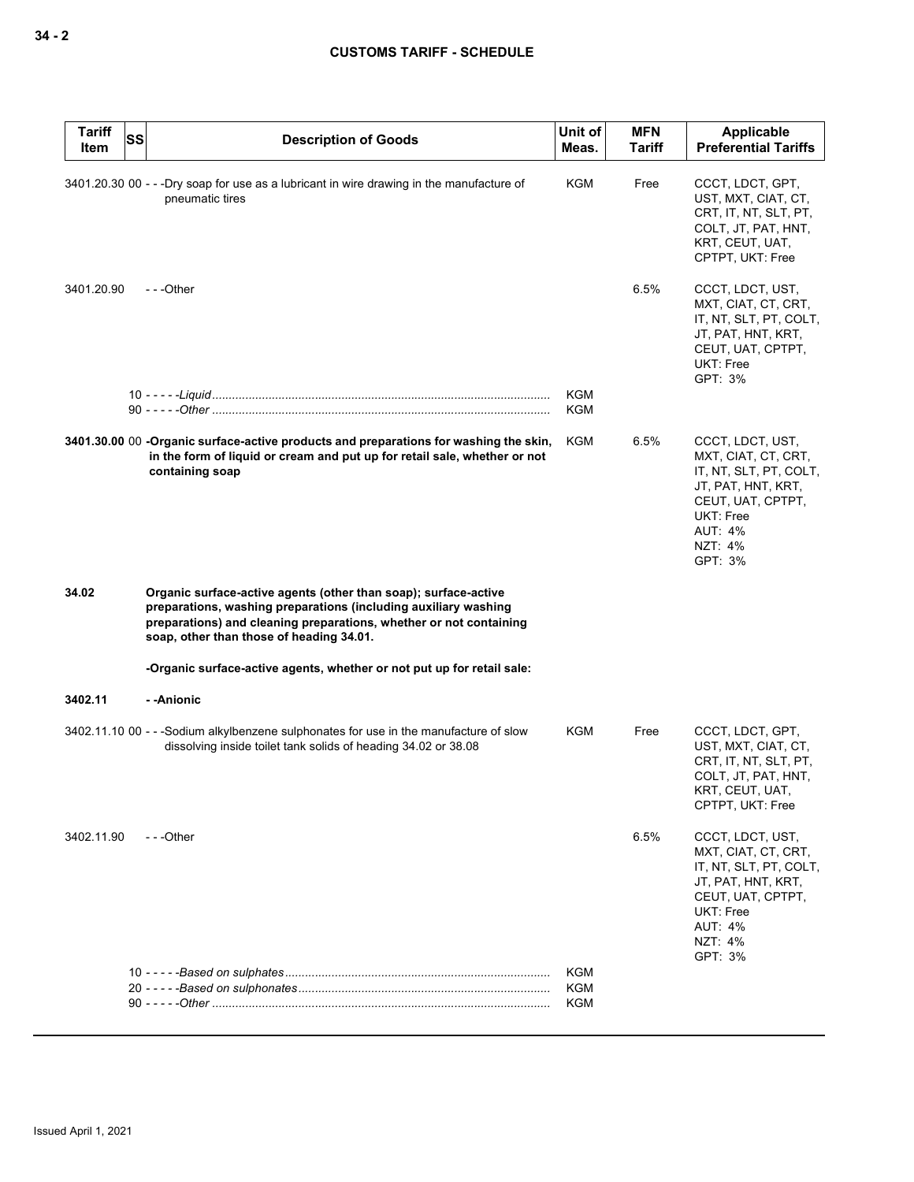| <b>Tariff</b><br><b>SS</b><br>Item | <b>Description of Goods</b>                                                                                                                                                                                                                          | Unit of<br>Meas. | <b>MFN</b><br>Tariff | <b>Applicable</b><br><b>Preferential Tariffs</b>                                                                                                                         |
|------------------------------------|------------------------------------------------------------------------------------------------------------------------------------------------------------------------------------------------------------------------------------------------------|------------------|----------------------|--------------------------------------------------------------------------------------------------------------------------------------------------------------------------|
|                                    | 3401.20.30 00 - - -Dry soap for use as a lubricant in wire drawing in the manufacture of<br>pneumatic tires                                                                                                                                          | KGM              | Free                 | CCCT, LDCT, GPT,<br>UST, MXT, CIAT, CT,<br>CRT, IT, NT, SLT, PT,<br>COLT, JT, PAT, HNT,<br>KRT, CEUT, UAT,<br>CPTPT, UKT: Free                                           |
| 3401.20.90                         | $- -$ Other                                                                                                                                                                                                                                          |                  | 6.5%                 | CCCT, LDCT, UST,<br>MXT, CIAT, CT, CRT,<br>IT, NT, SLT, PT, COLT,<br>JT, PAT, HNT, KRT,<br>CEUT, UAT, CPTPT,<br>UKT: Free<br>GPT: 3%                                     |
|                                    |                                                                                                                                                                                                                                                      | KGM<br>KGM       |                      |                                                                                                                                                                          |
|                                    | 3401.30.00 00 -Organic surface-active products and preparations for washing the skin,<br>in the form of liquid or cream and put up for retail sale, whether or not<br>containing soap                                                                | KGM              | 6.5%                 | CCCT, LDCT, UST,<br>MXT, CIAT, CT, CRT,<br>IT, NT, SLT, PT, COLT,<br>JT, PAT, HNT, KRT,<br>CEUT, UAT, CPTPT,<br>UKT: Free<br><b>AUT: 4%</b><br><b>NZT: 4%</b><br>GPT: 3% |
| 34.02                              | Organic surface-active agents (other than soap); surface-active<br>preparations, washing preparations (including auxiliary washing<br>preparations) and cleaning preparations, whether or not containing<br>soap, other than those of heading 34.01. |                  |                      |                                                                                                                                                                          |
|                                    | -Organic surface-active agents, whether or not put up for retail sale:                                                                                                                                                                               |                  |                      |                                                                                                                                                                          |
| 3402.11                            | - -Anionic                                                                                                                                                                                                                                           |                  |                      |                                                                                                                                                                          |
|                                    | 3402.11.10 00 - - -Sodium alkylbenzene sulphonates for use in the manufacture of slow<br>dissolving inside toilet tank solids of heading 34.02 or 38.08                                                                                              | KGM              | Free                 | CCCT, LDCT, GPT,<br>UST, MXT, CIAT, CT,<br>CRT, IT, NT, SLT, PT,<br>COLT, JT, PAT, HNT,<br>KRT, CEUT, UAT,<br>CPTPT, UKT: Free                                           |
| 3402.11.90                         | $- -$ Other                                                                                                                                                                                                                                          |                  | 6.5%                 | CCCT, LDCT, UST,<br>MXT, CIAT, CT, CRT,<br>IT, NT, SLT, PT, COLT,<br>JT, PAT, HNT, KRT,<br>CEUT, UAT, CPTPT,<br><b>UKT: Free</b><br><b>AUT: 4%</b><br>NZT: 4%<br>GPT: 3% |
|                                    |                                                                                                                                                                                                                                                      | KGM              |                      |                                                                                                                                                                          |
|                                    |                                                                                                                                                                                                                                                      | KGM              |                      |                                                                                                                                                                          |
|                                    |                                                                                                                                                                                                                                                      | KGM              |                      |                                                                                                                                                                          |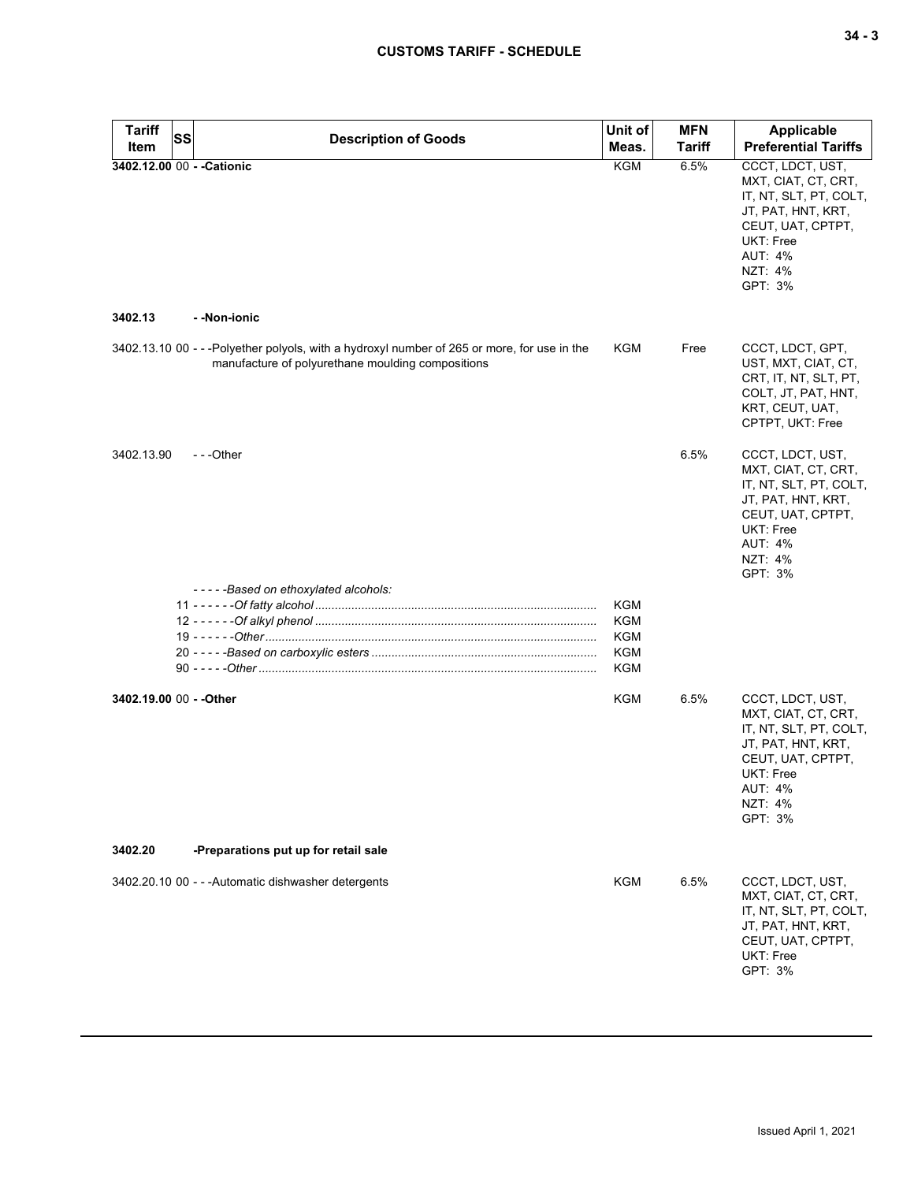| <b>Tariff</b>                         | <b>SS</b> | <b>Description of Goods</b>                                                                                                                      | Unit of    | <b>MFN</b>    | <b>Applicable</b>                                                                                                                                                 |
|---------------------------------------|-----------|--------------------------------------------------------------------------------------------------------------------------------------------------|------------|---------------|-------------------------------------------------------------------------------------------------------------------------------------------------------------------|
| <b>Item</b>                           |           |                                                                                                                                                  | Meas.      | <b>Tariff</b> | <b>Preferential Tariffs</b>                                                                                                                                       |
| 3402.12.00 00 - - Cationic<br>3402.13 |           | - -Non-ionic                                                                                                                                     | <b>KGM</b> | 6.5%          | CCCT, LDCT, UST,<br>MXT, CIAT, CT, CRT,<br>IT, NT, SLT, PT, COLT,<br>JT, PAT, HNT, KRT,<br>CEUT, UAT, CPTPT,<br>UKT: Free<br><b>AUT: 4%</b><br>NZT: 4%<br>GPT: 3% |
|                                       |           |                                                                                                                                                  |            |               |                                                                                                                                                                   |
|                                       |           | 3402.13.10 00 - - -Polyether polyols, with a hydroxyl number of 265 or more, for use in the<br>manufacture of polyurethane moulding compositions | KGM        | Free          | CCCT, LDCT, GPT,<br>UST, MXT, CIAT, CT,<br>CRT, IT, NT, SLT, PT,<br>COLT, JT, PAT, HNT,<br>KRT, CEUT, UAT,<br>CPTPT, UKT: Free                                    |
| 3402.13.90                            |           | $- -$ Other                                                                                                                                      |            | 6.5%          | CCCT, LDCT, UST,<br>MXT, CIAT, CT, CRT,<br>IT, NT, SLT, PT, COLT,<br>JT, PAT, HNT, KRT,<br>CEUT, UAT, CPTPT,<br>UKT: Free<br><b>AUT: 4%</b><br>NZT: 4%<br>GPT: 3% |
|                                       |           | -----Based on ethoxylated alcohols:                                                                                                              |            |               |                                                                                                                                                                   |
|                                       |           |                                                                                                                                                  | <b>KGM</b> |               |                                                                                                                                                                   |
|                                       |           |                                                                                                                                                  | <b>KGM</b> |               |                                                                                                                                                                   |
|                                       |           |                                                                                                                                                  | KGM        |               |                                                                                                                                                                   |
|                                       |           |                                                                                                                                                  | KGM<br>KGM |               |                                                                                                                                                                   |
|                                       |           |                                                                                                                                                  |            |               |                                                                                                                                                                   |
| 3402.19.00 00 - - Other               |           |                                                                                                                                                  | KGM        | 6.5%          | CCCT, LDCT, UST,<br>MXT, CIAT, CT, CRT,<br>IT, NT, SLT, PT, COLT,<br>JT, PAT, HNT, KRT,<br>CEUT, UAT, CPTPT,<br>UKT: Free<br>AUT: 4%<br>NZT: 4%<br>GPT: 3%        |
| 3402.20                               |           | -Preparations put up for retail sale                                                                                                             |            |               |                                                                                                                                                                   |
|                                       |           | 3402.20.10 00 - - - Automatic dishwasher detergents                                                                                              | <b>KGM</b> | 6.5%          | CCCT, LDCT, UST,<br>MXT, CIAT, CT, CRT,<br>IT, NT, SLT, PT, COLT,<br>JT, PAT, HNT, KRT,<br>CEUT, UAT, CPTPT,<br>UKT: Free<br>GPT: 3%                              |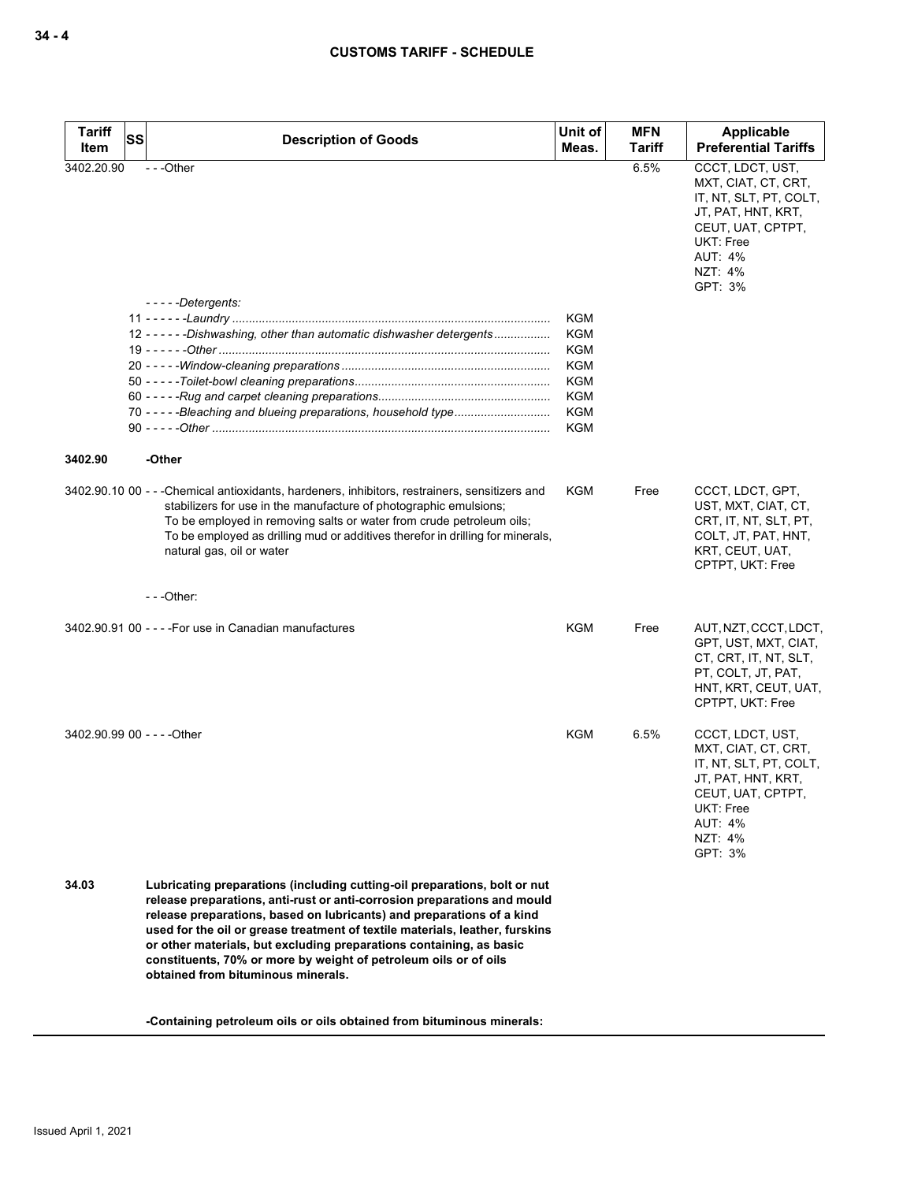| <b>Tariff</b><br>Item       | SS<br><b>Description of Goods</b>                                                                                                                                                                                                                                                                                                                                                                                                                                                               | Unit of<br>Meas.                                                                                      | <b>MFN</b><br><b>Tariff</b> | <b>Applicable</b><br><b>Preferential Tariffs</b>                                                                                                                         |
|-----------------------------|-------------------------------------------------------------------------------------------------------------------------------------------------------------------------------------------------------------------------------------------------------------------------------------------------------------------------------------------------------------------------------------------------------------------------------------------------------------------------------------------------|-------------------------------------------------------------------------------------------------------|-----------------------------|--------------------------------------------------------------------------------------------------------------------------------------------------------------------------|
| 3402.20.90                  | ---Other<br>-----Detergents:                                                                                                                                                                                                                                                                                                                                                                                                                                                                    |                                                                                                       | 6.5%                        | CCCT, LDCT, UST,<br>MXT, CIAT, CT, CRT,<br>IT, NT, SLT, PT, COLT,<br>JT, PAT, HNT, KRT,<br>CEUT, UAT, CPTPT,<br><b>UKT: Free</b><br><b>AUT: 4%</b><br>NZT: 4%<br>GPT: 3% |
|                             | 12 - - - - - - Dishwashing, other than automatic dishwasher detergents                                                                                                                                                                                                                                                                                                                                                                                                                          | <b>KGM</b><br>KGM<br><b>KGM</b><br><b>KGM</b><br><b>KGM</b><br><b>KGM</b><br><b>KGM</b><br><b>KGM</b> |                             |                                                                                                                                                                          |
| 3402.90                     | -Other                                                                                                                                                                                                                                                                                                                                                                                                                                                                                          |                                                                                                       |                             |                                                                                                                                                                          |
|                             | 3402.90.10 00 - - - Chemical antioxidants, hardeners, inhibitors, restrainers, sensitizers and<br>stabilizers for use in the manufacture of photographic emulsions;<br>To be employed in removing salts or water from crude petroleum oils;<br>To be employed as drilling mud or additives therefor in drilling for minerals,<br>natural gas, oil or water                                                                                                                                      | <b>KGM</b>                                                                                            | Free                        | CCCT, LDCT, GPT,<br>UST, MXT, CIAT, CT,<br>CRT, IT, NT, SLT, PT,<br>COLT, JT, PAT, HNT,<br>KRT, CEUT, UAT,<br>CPTPT, UKT: Free                                           |
|                             | $--$ Other:                                                                                                                                                                                                                                                                                                                                                                                                                                                                                     |                                                                                                       |                             |                                                                                                                                                                          |
|                             | 3402.90.91 00 - - - - For use in Canadian manufactures                                                                                                                                                                                                                                                                                                                                                                                                                                          | <b>KGM</b>                                                                                            | Free                        | AUT, NZT, CCCT, LDCT,<br>GPT, UST, MXT, CIAT,<br>CT, CRT, IT, NT, SLT,<br>PT, COLT, JT, PAT,<br>HNT, KRT, CEUT, UAT,<br>CPTPT, UKT: Free                                 |
| 3402.90.99 00 - - - - Other |                                                                                                                                                                                                                                                                                                                                                                                                                                                                                                 | <b>KGM</b>                                                                                            | 6.5%                        | CCCT, LDCT, UST,<br>MXT, CIAT, CT, CRT,<br>IT, NT, SLT, PT, COLT,<br>JT, PAT, HNT, KRT,<br>CEUT, UAT, CPTPT,<br>UKT: Free<br><b>AUT: 4%</b><br>NZT: 4%<br>GPT: 3%        |
| 34.03                       | Lubricating preparations (including cutting-oil preparations, bolt or nut<br>release preparations, anti-rust or anti-corrosion preparations and mould<br>release preparations, based on lubricants) and preparations of a kind<br>used for the oil or grease treatment of textile materials, leather, furskins<br>or other materials, but excluding preparations containing, as basic<br>constituents, 70% or more by weight of petroleum oils or of oils<br>obtained from bituminous minerals. |                                                                                                       |                             |                                                                                                                                                                          |

**-Containing petroleum oils or oils obtained from bituminous minerals:**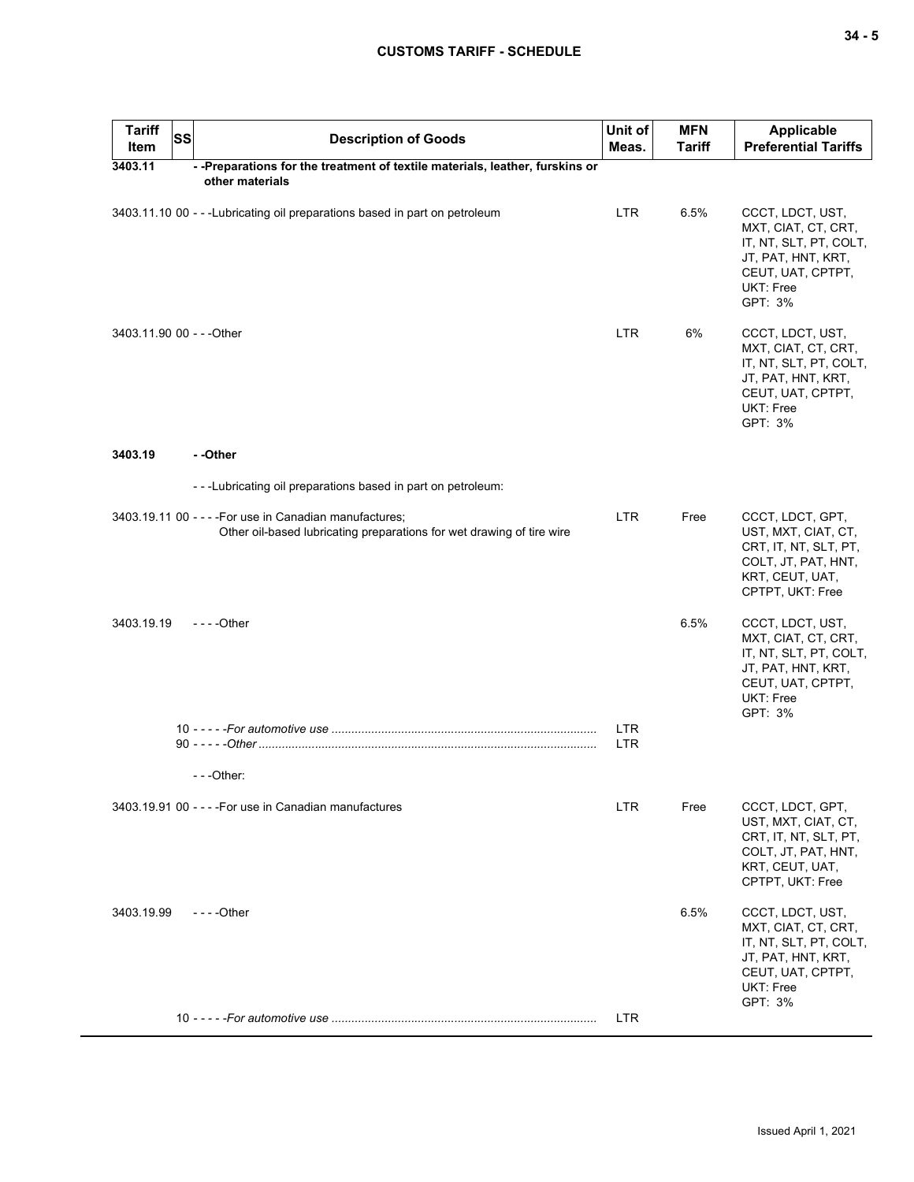| <b>Tariff</b><br>Item     | <b>SS</b> | <b>Description of Goods</b>                                                                                                      | Unit of<br>Meas. | <b>MFN</b><br><b>Tariff</b> | Applicable<br><b>Preferential Tariffs</b>                                                                                                   |
|---------------------------|-----------|----------------------------------------------------------------------------------------------------------------------------------|------------------|-----------------------------|---------------------------------------------------------------------------------------------------------------------------------------------|
| 3403.11                   |           | - - Preparations for the treatment of textile materials, leather, furskins or<br>other materials                                 |                  |                             |                                                                                                                                             |
|                           |           | 3403.11.10 00 - - - Lubricating oil preparations based in part on petroleum                                                      | <b>LTR</b>       | 6.5%                        | CCCT, LDCT, UST,<br>MXT, CIAT, CT, CRT,<br>IT, NT, SLT, PT, COLT,<br>JT, PAT, HNT, KRT,<br>CEUT, UAT, CPTPT,<br>UKT: Free<br>GPT: 3%        |
| 3403.11.90 00 - - - Other |           |                                                                                                                                  | LTR.             | 6%                          | CCCT, LDCT, UST,<br>MXT, CIAT, CT, CRT,<br>IT, NT, SLT, PT, COLT,<br>JT, PAT, HNT, KRT,<br>CEUT, UAT, CPTPT,<br>UKT: Free<br>GPT: 3%        |
| 3403.19                   |           | --Other                                                                                                                          |                  |                             |                                                                                                                                             |
|                           |           | ---Lubricating oil preparations based in part on petroleum:                                                                      |                  |                             |                                                                                                                                             |
|                           |           | 3403.19.11 00 - - - - For use in Canadian manufactures;<br>Other oil-based lubricating preparations for wet drawing of tire wire | <b>LTR</b>       | Free                        | CCCT, LDCT, GPT,<br>UST, MXT, CIAT, CT,<br>CRT, IT, NT, SLT, PT,<br>COLT, JT, PAT, HNT,<br>KRT, CEUT, UAT,<br>CPTPT, UKT: Free              |
| 3403.19.19                |           | $- - -$ Other                                                                                                                    |                  | 6.5%                        | CCCT, LDCT, UST,<br>MXT, CIAT, CT, CRT,<br>IT, NT, SLT, PT, COLT,<br>JT, PAT, HNT, KRT,<br>CEUT, UAT, CPTPT,<br>UKT: Free<br>GPT: 3%        |
|                           |           |                                                                                                                                  | <b>LTR</b>       |                             |                                                                                                                                             |
|                           |           |                                                                                                                                  | <b>LTR</b>       |                             |                                                                                                                                             |
|                           |           | $- -$ Other:                                                                                                                     |                  |                             |                                                                                                                                             |
|                           |           | 3403.19.91 00 - - - - For use in Canadian manufactures                                                                           | <b>LTR</b>       | Free                        | CCCT, LDCT, GPT,<br>UST, MXT, CIAT, CT,<br>CRT, IT, NT, SLT, PT,<br>COLT, JT, PAT, HNT,<br>KRT, CEUT, UAT,<br>CPTPT, UKT: Free              |
| 3403.19.99                |           | $--$ Other                                                                                                                       |                  | 6.5%                        | CCCT, LDCT, UST,<br>MXT, CIAT, CT, CRT,<br>IT, NT, SLT, PT, COLT,<br>JT, PAT, HNT, KRT,<br>CEUT, UAT, CPTPT,<br><b>UKT: Free</b><br>GPT: 3% |
|                           |           |                                                                                                                                  | <b>LTR</b>       |                             |                                                                                                                                             |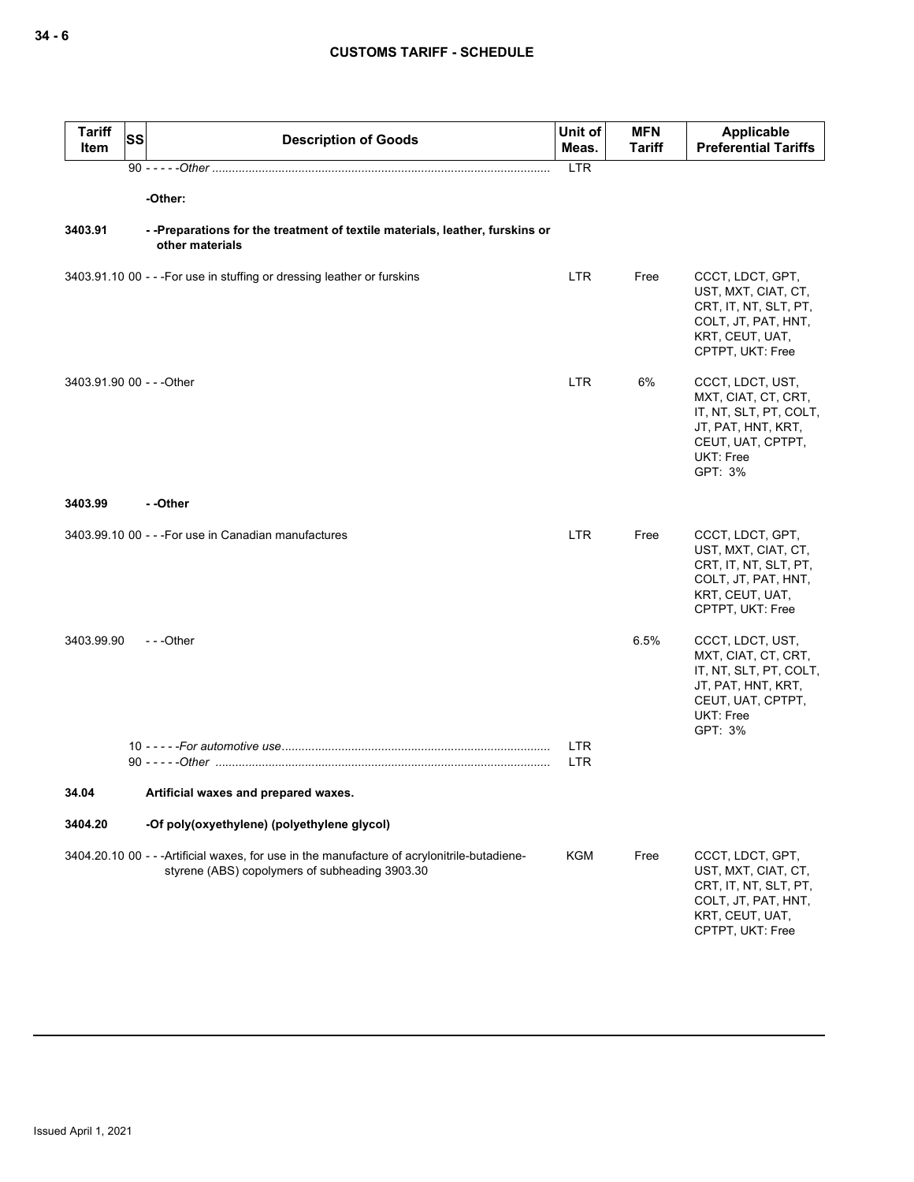| <b>Tariff</b><br>Item     | SS | <b>Description of Goods</b>                                                                                                                    | Unit of<br>Meas.         | <b>MFN</b><br><b>Tariff</b> | <b>Applicable</b><br><b>Preferential Tariffs</b>                                                                                            |
|---------------------------|----|------------------------------------------------------------------------------------------------------------------------------------------------|--------------------------|-----------------------------|---------------------------------------------------------------------------------------------------------------------------------------------|
|                           |    |                                                                                                                                                | <b>LTR</b>               |                             |                                                                                                                                             |
|                           |    | -Other:                                                                                                                                        |                          |                             |                                                                                                                                             |
| 3403.91                   |    | --Preparations for the treatment of textile materials, leather, furskins or<br>other materials                                                 |                          |                             |                                                                                                                                             |
|                           |    | 3403.91.10 00 - - - For use in stuffing or dressing leather or furskins                                                                        | LTR.                     | Free                        | CCCT, LDCT, GPT,<br>UST, MXT, CIAT, CT,<br>CRT, IT, NT, SLT, PT,<br>COLT, JT, PAT, HNT,<br>KRT, CEUT, UAT,<br>CPTPT, UKT: Free              |
| 3403.91.90 00 - - - Other |    |                                                                                                                                                | LTR.                     | 6%                          | CCCT, LDCT, UST,<br>MXT, CIAT, CT, CRT,<br>IT, NT, SLT, PT, COLT,<br>JT, PAT, HNT, KRT,<br>CEUT, UAT, CPTPT,<br>UKT: Free<br>GPT: 3%        |
| 3403.99                   |    | - -Other                                                                                                                                       |                          |                             |                                                                                                                                             |
|                           |    | 3403.99.10 00 - - - For use in Canadian manufactures                                                                                           | LTR.                     | Free                        | CCCT, LDCT, GPT,<br>UST, MXT, CIAT, CT,<br>CRT, IT, NT, SLT, PT,<br>COLT, JT, PAT, HNT,<br>KRT, CEUT, UAT,<br>CPTPT, UKT: Free              |
| 3403.99.90                |    | $- -$ Other                                                                                                                                    | <b>LTR</b><br><b>LTR</b> | 6.5%                        | CCCT, LDCT, UST,<br>MXT, CIAT, CT, CRT,<br>IT, NT, SLT, PT, COLT,<br>JT, PAT, HNT, KRT,<br>CEUT, UAT, CPTPT,<br><b>UKT: Free</b><br>GPT: 3% |
| 34.04                     |    | Artificial waxes and prepared waxes.                                                                                                           |                          |                             |                                                                                                                                             |
|                           |    |                                                                                                                                                |                          |                             |                                                                                                                                             |
| 3404.20                   |    | -Of poly(oxyethylene) (polyethylene glycol)                                                                                                    |                          |                             |                                                                                                                                             |
|                           |    | 3404.20.10 00 - - - Artificial waxes, for use in the manufacture of acrylonitrile-butadiene-<br>styrene (ABS) copolymers of subheading 3903.30 | KGM                      | Free                        | CCCT, LDCT, GPT,<br>UST, MXT, CIAT, CT,<br>CRT, IT, NT, SLT, PT,<br>COLT, JT, PAT, HNT,<br>KRT, CEUT, UAT,<br>CPTPT, UKT: Free              |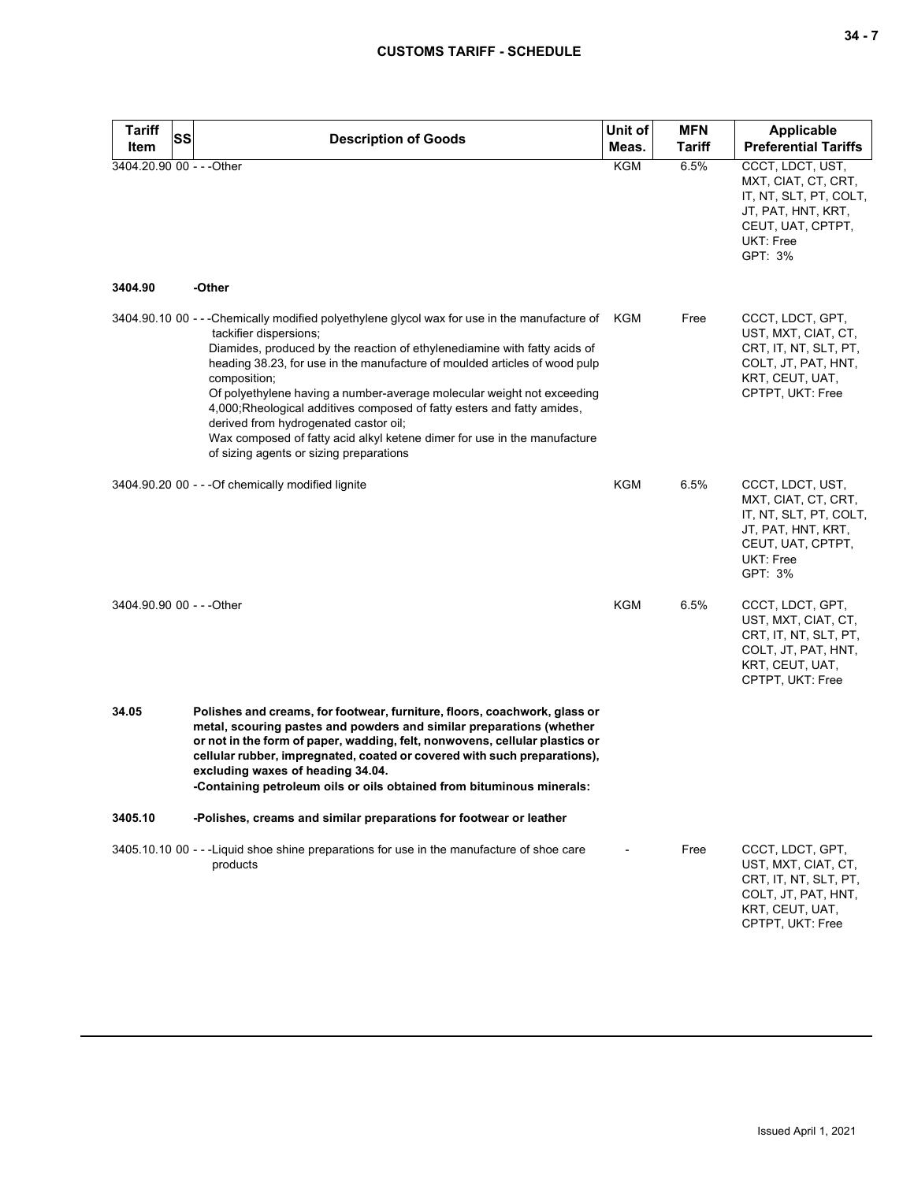| <b>Tariff</b><br>SS<br>Item | <b>Description of Goods</b>                                                                                                                                                                                                                                                                                                                                                                                                                                                                                                                                                                                                | Unit of<br>Meas. | <b>MFN</b><br><b>Tariff</b> | Applicable<br><b>Preferential Tariffs</b>                                                                                            |
|-----------------------------|----------------------------------------------------------------------------------------------------------------------------------------------------------------------------------------------------------------------------------------------------------------------------------------------------------------------------------------------------------------------------------------------------------------------------------------------------------------------------------------------------------------------------------------------------------------------------------------------------------------------------|------------------|-----------------------------|--------------------------------------------------------------------------------------------------------------------------------------|
| 3404.20.90 00 - - - Other   |                                                                                                                                                                                                                                                                                                                                                                                                                                                                                                                                                                                                                            | KGM              | 6.5%                        | CCCT, LDCT, UST,<br>MXT, CIAT, CT, CRT,<br>IT, NT, SLT, PT, COLT,<br>JT, PAT, HNT, KRT,<br>CEUT, UAT, CPTPT,<br>UKT: Free<br>GPT: 3% |
| 3404.90                     | -Other                                                                                                                                                                                                                                                                                                                                                                                                                                                                                                                                                                                                                     |                  |                             |                                                                                                                                      |
|                             | 3404.90.10 00 - - -Chemically modified polyethylene glycol wax for use in the manufacture of KGM<br>tackifier dispersions;<br>Diamides, produced by the reaction of ethylenediamine with fatty acids of<br>heading 38.23, for use in the manufacture of moulded articles of wood pulp<br>composition;<br>Of polyethylene having a number-average molecular weight not exceeding<br>4,000; Rheological additives composed of fatty esters and fatty amides,<br>derived from hydrogenated castor oil;<br>Wax composed of fatty acid alkyl ketene dimer for use in the manufacture<br>of sizing agents or sizing preparations |                  | Free                        | CCCT, LDCT, GPT,<br>UST, MXT, CIAT, CT,<br>CRT, IT, NT, SLT, PT,<br>COLT, JT, PAT, HNT,<br>KRT, CEUT, UAT,<br>CPTPT, UKT: Free       |
|                             | 3404.90.20 00 - - - Of chemically modified lignite                                                                                                                                                                                                                                                                                                                                                                                                                                                                                                                                                                         | KGM              | 6.5%                        | CCCT, LDCT, UST,<br>MXT, CIAT, CT, CRT,<br>IT, NT, SLT, PT, COLT,<br>JT, PAT, HNT, KRT,<br>CEUT, UAT, CPTPT,<br>UKT: Free<br>GPT: 3% |
| 3404.90.90 00 - - - Other   |                                                                                                                                                                                                                                                                                                                                                                                                                                                                                                                                                                                                                            | <b>KGM</b>       | 6.5%                        | CCCT, LDCT, GPT,<br>UST, MXT, CIAT, CT,<br>CRT, IT, NT, SLT, PT,<br>COLT, JT, PAT, HNT,<br>KRT, CEUT, UAT,<br>CPTPT, UKT: Free       |
| 34.05                       | Polishes and creams, for footwear, furniture, floors, coachwork, glass or<br>metal, scouring pastes and powders and similar preparations (whether<br>or not in the form of paper, wadding, felt, nonwovens, cellular plastics or<br>cellular rubber, impregnated, coated or covered with such preparations),<br>excluding waxes of heading 34.04.<br>Containing petroleum oils or oils obtained from bituminous minerals:                                                                                                                                                                                                  |                  |                             |                                                                                                                                      |
| 3405.10                     | -Polishes, creams and similar preparations for footwear or leather                                                                                                                                                                                                                                                                                                                                                                                                                                                                                                                                                         |                  |                             |                                                                                                                                      |
|                             | 3405.10.10 00 - - - Liquid shoe shine preparations for use in the manufacture of shoe care<br>products                                                                                                                                                                                                                                                                                                                                                                                                                                                                                                                     |                  | Free                        | CCCT, LDCT, GPT,<br>UST, MXT, CIAT, CT,<br>CRT, IT, NT, SLT, PT,<br>COLT, JT, PAT, HNT,<br>KRT, CEUT, UAT,<br>CPTPT, UKT: Free       |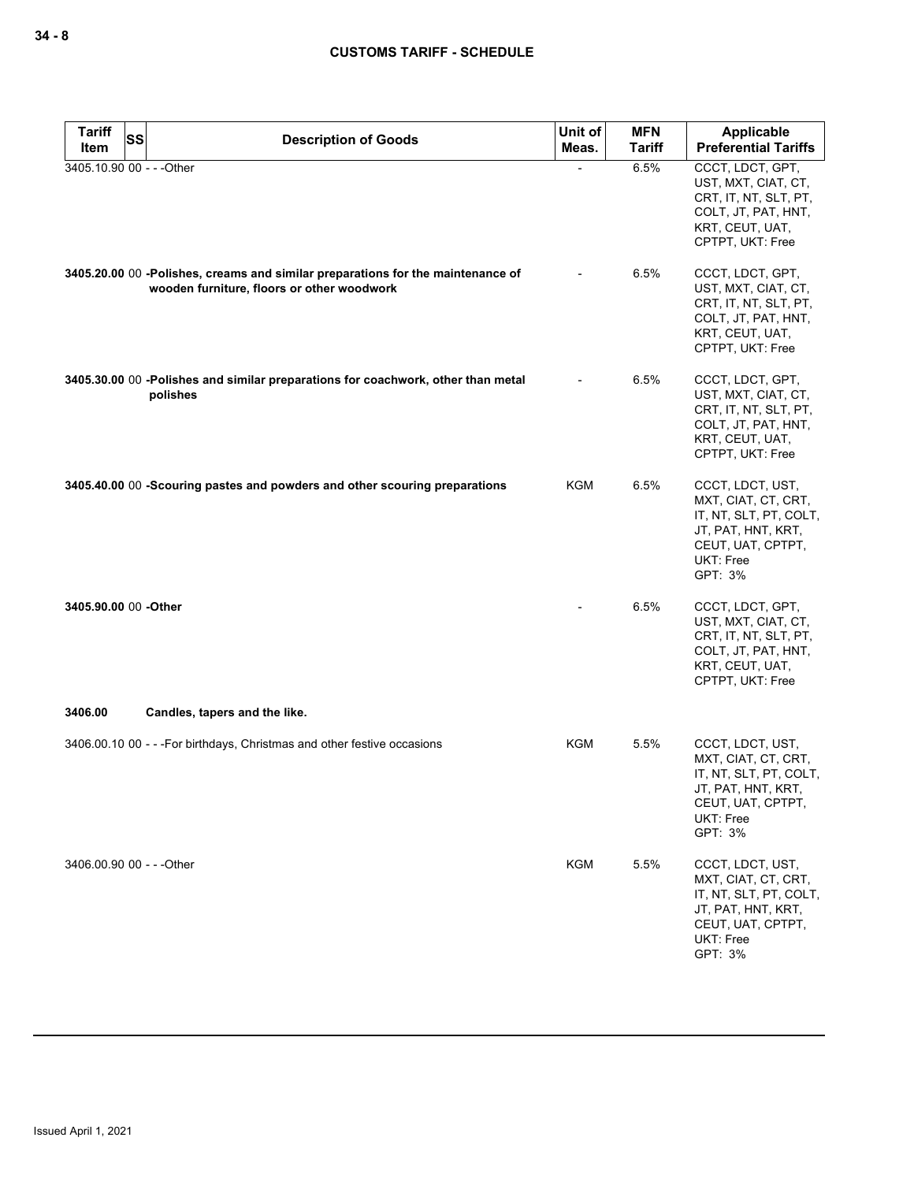| <b>Tariff</b>             | <b>SS</b><br><b>Description of Goods</b>                                                                                      | Unit of    | <b>MFN</b>    | Applicable                                                                                                                                  |
|---------------------------|-------------------------------------------------------------------------------------------------------------------------------|------------|---------------|---------------------------------------------------------------------------------------------------------------------------------------------|
| Item                      |                                                                                                                               | Meas.      | <b>Tariff</b> | <b>Preferential Tariffs</b>                                                                                                                 |
| 3405.10.90 00 - - - Other |                                                                                                                               |            | 6.5%          | CCCT, LDCT, GPT,<br>UST, MXT, CIAT, CT,<br>CRT, IT, NT, SLT, PT,<br>COLT, JT, PAT, HNT,<br>KRT, CEUT, UAT,<br>CPTPT, UKT: Free              |
|                           | 3405.20.00 00 -Polishes, creams and similar preparations for the maintenance of<br>wooden furniture, floors or other woodwork |            | 6.5%          | CCCT, LDCT, GPT,<br>UST, MXT, CIAT, CT,<br>CRT, IT, NT, SLT, PT,<br>COLT, JT, PAT, HNT,<br>KRT, CEUT, UAT,<br>CPTPT, UKT: Free              |
|                           | 3405.30.00 00 -Polishes and similar preparations for coachwork, other than metal<br>polishes                                  |            | 6.5%          | CCCT, LDCT, GPT,<br>UST, MXT, CIAT, CT,<br>CRT, IT, NT, SLT, PT,<br>COLT, JT, PAT, HNT,<br>KRT, CEUT, UAT,<br>CPTPT, UKT: Free              |
|                           | 3405.40.00 00 -Scouring pastes and powders and other scouring preparations                                                    | KGM        | 6.5%          | CCCT, LDCT, UST,<br>MXT, CIAT, CT, CRT,<br>IT, NT, SLT, PT, COLT,<br>JT, PAT, HNT, KRT,<br>CEUT, UAT, CPTPT,<br>UKT: Free<br>GPT: 3%        |
| 3405.90.00 00 - Other     |                                                                                                                               |            | 6.5%          | CCCT, LDCT, GPT,<br>UST, MXT, CIAT, CT,<br>CRT, IT, NT, SLT, PT,<br>COLT, JT, PAT, HNT,<br>KRT, CEUT, UAT,<br>CPTPT, UKT: Free              |
| 3406.00                   | Candles, tapers and the like.                                                                                                 |            |               |                                                                                                                                             |
|                           | 3406.00.10 00 - - - For birthdays, Christmas and other festive occasions                                                      | KGM        | 5.5%          | CCCT, LDCT, UST,<br>MXT, CIAT, CT, CRT,<br>IT, NT, SLT, PT, COLT,<br>JT, PAT, HNT, KRT,<br>CEUT, UAT, CPTPT,<br><b>UKT: Free</b><br>GPT: 3% |
| 3406.00.90 00 - - - Other |                                                                                                                               | <b>KGM</b> | 5.5%          | CCCT, LDCT, UST,<br>MXT, CIAT, CT, CRT,<br>IT, NT, SLT, PT, COLT,<br>JT, PAT, HNT, KRT,<br>CEUT, UAT, CPTPT,<br>UKT: Free<br>GPT: 3%        |